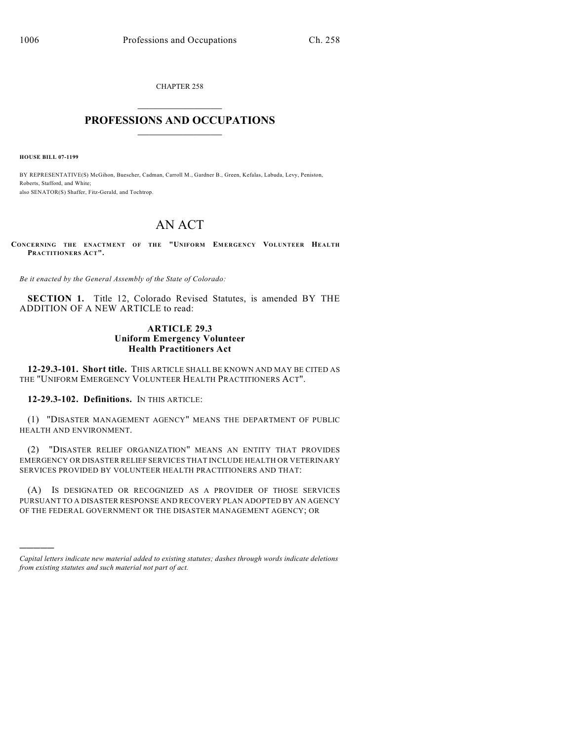CHAPTER 258  $\mathcal{L}_\text{max}$  . The set of the set of the set of the set of the set of the set of the set of the set of the set of the set of the set of the set of the set of the set of the set of the set of the set of the set of the set

## **PROFESSIONS AND OCCUPATIONS**  $\frac{1}{2}$  ,  $\frac{1}{2}$  ,  $\frac{1}{2}$  ,  $\frac{1}{2}$  ,  $\frac{1}{2}$  ,  $\frac{1}{2}$

**HOUSE BILL 07-1199**

)))))

BY REPRESENTATIVE(S) McGihon, Buescher, Cadman, Carroll M., Gardner B., Green, Kefalas, Labuda, Levy, Peniston, Roberts, Stafford, and White; also SENATOR(S) Shaffer, Fitz-Gerald, and Tochtrop.

# AN ACT

**CONCERNING THE ENACTMENT OF THE "UNIFORM EMERGENCY VOLUNTEER HEALTH PRACTITIONERS ACT".**

*Be it enacted by the General Assembly of the State of Colorado:*

**SECTION 1.** Title 12, Colorado Revised Statutes, is amended BY THE ADDITION OF A NEW ARTICLE to read:

### **ARTICLE 29.3 Uniform Emergency Volunteer Health Practitioners Act**

**12-29.3-101. Short title.** THIS ARTICLE SHALL BE KNOWN AND MAY BE CITED AS THE "UNIFORM EMERGENCY VOLUNTEER HEALTH PRACTITIONERS ACT".

**12-29.3-102. Definitions.** IN THIS ARTICLE:

(1) "DISASTER MANAGEMENT AGENCY" MEANS THE DEPARTMENT OF PUBLIC HEALTH AND ENVIRONMENT.

(2) "DISASTER RELIEF ORGANIZATION" MEANS AN ENTITY THAT PROVIDES EMERGENCY OR DISASTER RELIEF SERVICES THAT INCLUDE HEALTH OR VETERINARY SERVICES PROVIDED BY VOLUNTEER HEALTH PRACTITIONERS AND THAT:

(A) IS DESIGNATED OR RECOGNIZED AS A PROVIDER OF THOSE SERVICES PURSUANT TO A DISASTER RESPONSE AND RECOVERY PLAN ADOPTED BY AN AGENCY OF THE FEDERAL GOVERNMENT OR THE DISASTER MANAGEMENT AGENCY; OR

*Capital letters indicate new material added to existing statutes; dashes through words indicate deletions from existing statutes and such material not part of act.*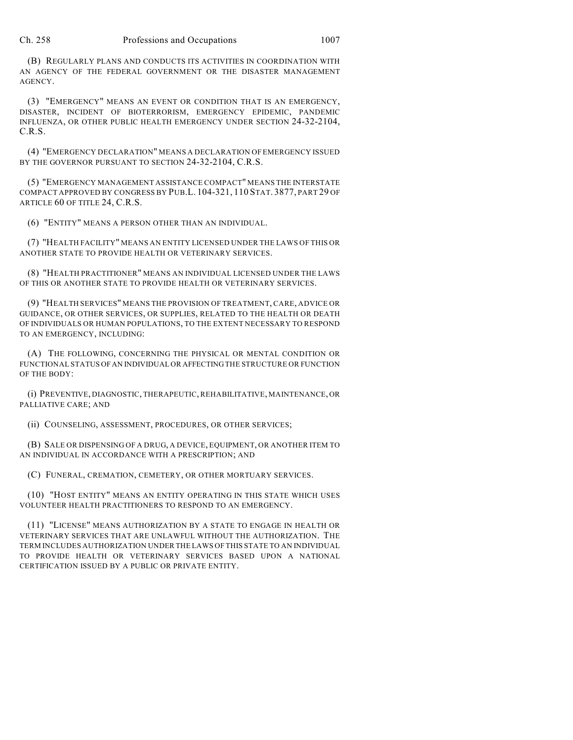(B) REGULARLY PLANS AND CONDUCTS ITS ACTIVITIES IN COORDINATION WITH AN AGENCY OF THE FEDERAL GOVERNMENT OR THE DISASTER MANAGEMENT AGENCY.

(3) "EMERGENCY" MEANS AN EVENT OR CONDITION THAT IS AN EMERGENCY, DISASTER, INCIDENT OF BIOTERRORISM, EMERGENCY EPIDEMIC, PANDEMIC INFLUENZA, OR OTHER PUBLIC HEALTH EMERGENCY UNDER SECTION 24-32-2104, C.R.S.

(4) "EMERGENCY DECLARATION" MEANS A DECLARATION OF EMERGENCY ISSUED BY THE GOVERNOR PURSUANT TO SECTION 24-32-2104, C.R.S.

(5) "EMERGENCY MANAGEMENT ASSISTANCE COMPACT" MEANS THE INTERSTATE COMPACT APPROVED BY CONGRESS BY PUB.L. 104-321, 110 STAT. 3877, PART 29 OF ARTICLE 60 OF TITLE 24, C.R.S.

(6) "ENTITY" MEANS A PERSON OTHER THAN AN INDIVIDUAL.

(7) "HEALTH FACILITY" MEANS AN ENTITY LICENSED UNDER THE LAWS OF THIS OR ANOTHER STATE TO PROVIDE HEALTH OR VETERINARY SERVICES.

(8) "HEALTH PRACTITIONER" MEANS AN INDIVIDUAL LICENSED UNDER THE LAWS OF THIS OR ANOTHER STATE TO PROVIDE HEALTH OR VETERINARY SERVICES.

(9) "HEALTH SERVICES" MEANS THE PROVISION OF TREATMENT, CARE, ADVICE OR GUIDANCE, OR OTHER SERVICES, OR SUPPLIES, RELATED TO THE HEALTH OR DEATH OF INDIVIDUALS OR HUMAN POPULATIONS, TO THE EXTENT NECESSARY TO RESPOND TO AN EMERGENCY, INCLUDING:

(A) THE FOLLOWING, CONCERNING THE PHYSICAL OR MENTAL CONDITION OR FUNCTIONAL STATUS OF AN INDIVIDUAL OR AFFECTING THE STRUCTURE OR FUNCTION OF THE BODY:

(i) PREVENTIVE, DIAGNOSTIC, THERAPEUTIC, REHABILITATIVE, MAINTENANCE, OR PALLIATIVE CARE; AND

(ii) COUNSELING, ASSESSMENT, PROCEDURES, OR OTHER SERVICES;

(B) SALE OR DISPENSING OF A DRUG, A DEVICE, EQUIPMENT, OR ANOTHER ITEM TO AN INDIVIDUAL IN ACCORDANCE WITH A PRESCRIPTION; AND

(C) FUNERAL, CREMATION, CEMETERY, OR OTHER MORTUARY SERVICES.

(10) "HOST ENTITY" MEANS AN ENTITY OPERATING IN THIS STATE WHICH USES VOLUNTEER HEALTH PRACTITIONERS TO RESPOND TO AN EMERGENCY.

(11) "LICENSE" MEANS AUTHORIZATION BY A STATE TO ENGAGE IN HEALTH OR VETERINARY SERVICES THAT ARE UNLAWFUL WITHOUT THE AUTHORIZATION. THE TERM INCLUDES AUTHORIZATION UNDER THE LAWS OF THIS STATE TO AN INDIVIDUAL TO PROVIDE HEALTH OR VETERINARY SERVICES BASED UPON A NATIONAL CERTIFICATION ISSUED BY A PUBLIC OR PRIVATE ENTITY.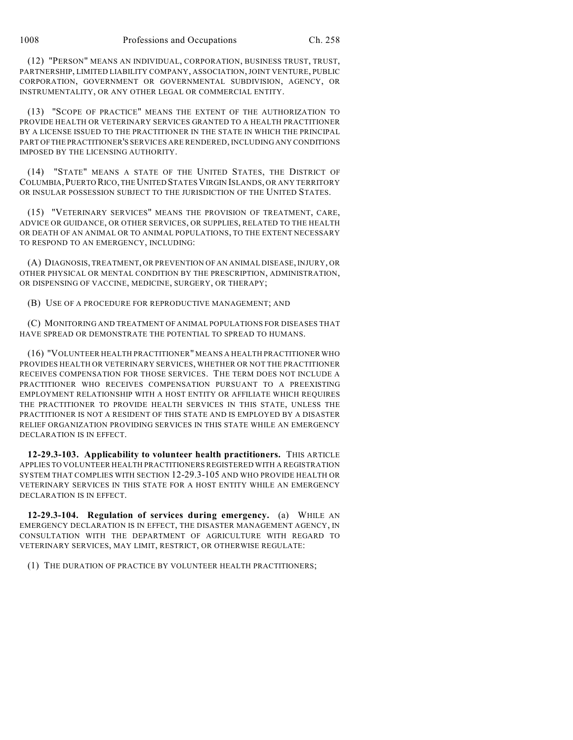(12) "PERSON" MEANS AN INDIVIDUAL, CORPORATION, BUSINESS TRUST, TRUST, PARTNERSHIP, LIMITED LIABILITY COMPANY, ASSOCIATION, JOINT VENTURE, PUBLIC CORPORATION, GOVERNMENT OR GOVERNMENTAL SUBDIVISION, AGENCY, OR INSTRUMENTALITY, OR ANY OTHER LEGAL OR COMMERCIAL ENTITY.

(13) "SCOPE OF PRACTICE" MEANS THE EXTENT OF THE AUTHORIZATION TO PROVIDE HEALTH OR VETERINARY SERVICES GRANTED TO A HEALTH PRACTITIONER BY A LICENSE ISSUED TO THE PRACTITIONER IN THE STATE IN WHICH THE PRINCIPAL PART OF THE PRACTITIONER'S SERVICES ARE RENDERED, INCLUDING ANY CONDITIONS IMPOSED BY THE LICENSING AUTHORITY.

(14) "STATE" MEANS A STATE OF THE UNITED STATES, THE DISTRICT OF COLUMBIA,PUERTO RICO, THE UNITED STATESVIRGIN ISLANDS, OR ANY TERRITORY OR INSULAR POSSESSION SUBJECT TO THE JURISDICTION OF THE UNITED STATES.

(15) "VETERINARY SERVICES" MEANS THE PROVISION OF TREATMENT, CARE, ADVICE OR GUIDANCE, OR OTHER SERVICES, OR SUPPLIES, RELATED TO THE HEALTH OR DEATH OF AN ANIMAL OR TO ANIMAL POPULATIONS, TO THE EXTENT NECESSARY TO RESPOND TO AN EMERGENCY, INCLUDING:

(A) DIAGNOSIS, TREATMENT, OR PREVENTION OF AN ANIMAL DISEASE, INJURY, OR OTHER PHYSICAL OR MENTAL CONDITION BY THE PRESCRIPTION, ADMINISTRATION, OR DISPENSING OF VACCINE, MEDICINE, SURGERY, OR THERAPY;

(B) USE OF A PROCEDURE FOR REPRODUCTIVE MANAGEMENT; AND

(C) MONITORING AND TREATMENT OF ANIMAL POPULATIONS FOR DISEASES THAT HAVE SPREAD OR DEMONSTRATE THE POTENTIAL TO SPREAD TO HUMANS.

(16) "VOLUNTEER HEALTH PRACTITIONER" MEANS A HEALTH PRACTITIONER WHO PROVIDES HEALTH OR VETERINARY SERVICES, WHETHER OR NOT THE PRACTITIONER RECEIVES COMPENSATION FOR THOSE SERVICES. THE TERM DOES NOT INCLUDE A PRACTITIONER WHO RECEIVES COMPENSATION PURSUANT TO A PREEXISTING EMPLOYMENT RELATIONSHIP WITH A HOST ENTITY OR AFFILIATE WHICH REQUIRES THE PRACTITIONER TO PROVIDE HEALTH SERVICES IN THIS STATE, UNLESS THE PRACTITIONER IS NOT A RESIDENT OF THIS STATE AND IS EMPLOYED BY A DISASTER RELIEF ORGANIZATION PROVIDING SERVICES IN THIS STATE WHILE AN EMERGENCY DECLARATION IS IN EFFECT.

**12-29.3-103. Applicability to volunteer health practitioners.** THIS ARTICLE APPLIES TO VOLUNTEER HEALTH PRACTITIONERS REGISTERED WITH A REGISTRATION SYSTEM THAT COMPLIES WITH SECTION 12-29.3-105 AND WHO PROVIDE HEALTH OR VETERINARY SERVICES IN THIS STATE FOR A HOST ENTITY WHILE AN EMERGENCY DECLARATION IS IN EFFECT.

**12-29.3-104. Regulation of services during emergency.** (a) WHILE AN EMERGENCY DECLARATION IS IN EFFECT, THE DISASTER MANAGEMENT AGENCY, IN CONSULTATION WITH THE DEPARTMENT OF AGRICULTURE WITH REGARD TO VETERINARY SERVICES, MAY LIMIT, RESTRICT, OR OTHERWISE REGULATE:

(1) THE DURATION OF PRACTICE BY VOLUNTEER HEALTH PRACTITIONERS;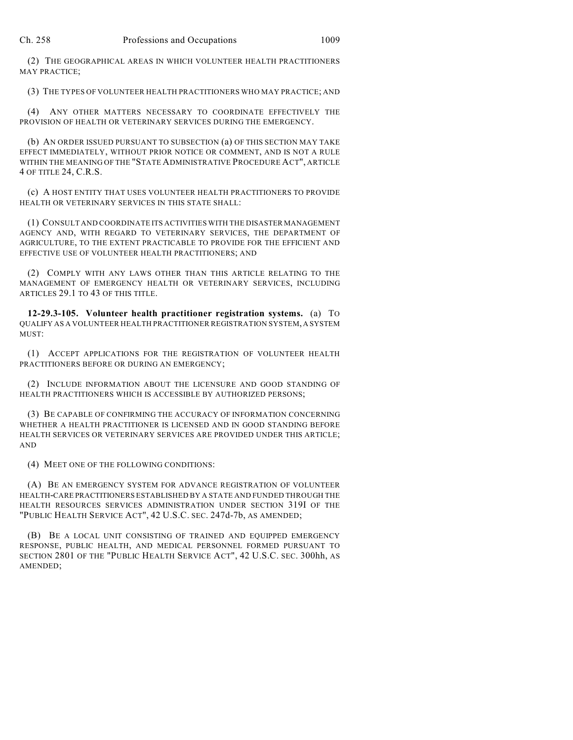(2) THE GEOGRAPHICAL AREAS IN WHICH VOLUNTEER HEALTH PRACTITIONERS MAY PRACTICE;

(3) THE TYPES OF VOLUNTEER HEALTH PRACTITIONERS WHO MAY PRACTICE; AND

(4) ANY OTHER MATTERS NECESSARY TO COORDINATE EFFECTIVELY THE PROVISION OF HEALTH OR VETERINARY SERVICES DURING THE EMERGENCY.

(b) AN ORDER ISSUED PURSUANT TO SUBSECTION (a) OF THIS SECTION MAY TAKE EFFECT IMMEDIATELY, WITHOUT PRIOR NOTICE OR COMMENT, AND IS NOT A RULE WITHIN THE MEANING OF THE "STATE ADMINISTRATIVE PROCEDURE ACT", ARTICLE 4 OF TITLE 24, C.R.S.

(c) A HOST ENTITY THAT USES VOLUNTEER HEALTH PRACTITIONERS TO PROVIDE HEALTH OR VETERINARY SERVICES IN THIS STATE SHALL:

(1) CONSULT AND COORDINATE ITS ACTIVITIES WITH THE DISASTER MANAGEMENT AGENCY AND, WITH REGARD TO VETERINARY SERVICES, THE DEPARTMENT OF AGRICULTURE, TO THE EXTENT PRACTICABLE TO PROVIDE FOR THE EFFICIENT AND EFFECTIVE USE OF VOLUNTEER HEALTH PRACTITIONERS; AND

(2) COMPLY WITH ANY LAWS OTHER THAN THIS ARTICLE RELATING TO THE MANAGEMENT OF EMERGENCY HEALTH OR VETERINARY SERVICES, INCLUDING ARTICLES 29.1 TO 43 OF THIS TITLE.

**12-29.3-105. Volunteer health practitioner registration systems.** (a) TO QUALIFY AS A VOLUNTEER HEALTH PRACTITIONER REGISTRATION SYSTEM, A SYSTEM MUST:

(1) ACCEPT APPLICATIONS FOR THE REGISTRATION OF VOLUNTEER HEALTH PRACTITIONERS BEFORE OR DURING AN EMERGENCY;

(2) INCLUDE INFORMATION ABOUT THE LICENSURE AND GOOD STANDING OF HEALTH PRACTITIONERS WHICH IS ACCESSIBLE BY AUTHORIZED PERSONS;

(3) BE CAPABLE OF CONFIRMING THE ACCURACY OF INFORMATION CONCERNING WHETHER A HEALTH PRACTITIONER IS LICENSED AND IN GOOD STANDING BEFORE HEALTH SERVICES OR VETERINARY SERVICES ARE PROVIDED UNDER THIS ARTICLE; AND

(4) MEET ONE OF THE FOLLOWING CONDITIONS:

(A) BE AN EMERGENCY SYSTEM FOR ADVANCE REGISTRATION OF VOLUNTEER HEALTH-CARE PRACTITIONERS ESTABLISHED BY A STATE AND FUNDED THROUGH THE HEALTH RESOURCES SERVICES ADMINISTRATION UNDER SECTION 319I OF THE "PUBLIC HEALTH SERVICE ACT", 42 U.S.C. SEC. 247d-7b, AS AMENDED;

(B) BE A LOCAL UNIT CONSISTING OF TRAINED AND EQUIPPED EMERGENCY RESPONSE, PUBLIC HEALTH, AND MEDICAL PERSONNEL FORMED PURSUANT TO SECTION 2801 OF THE "PUBLIC HEALTH SERVICE ACT", 42 U.S.C. SEC. 300hh, AS AMENDED;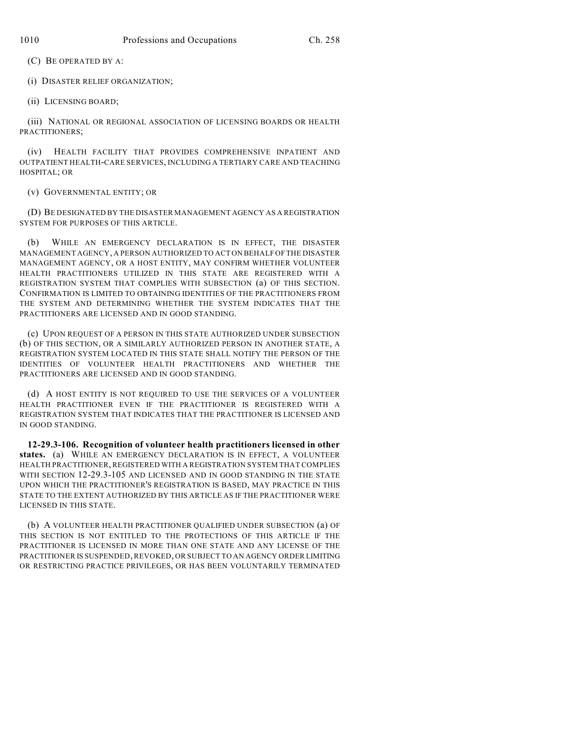(C) BE OPERATED BY A:

(i) DISASTER RELIEF ORGANIZATION;

(ii) LICENSING BOARD;

(iii) NATIONAL OR REGIONAL ASSOCIATION OF LICENSING BOARDS OR HEALTH PRACTITIONERS;

(iv) HEALTH FACILITY THAT PROVIDES COMPREHENSIVE INPATIENT AND OUTPATIENT HEALTH-CARE SERVICES, INCLUDING A TERTIARY CARE AND TEACHING HOSPITAL; OR

(v) GOVERNMENTAL ENTITY; OR

(D) BE DESIGNATED BY THE DISASTER MANAGEMENT AGENCY AS A REGISTRATION SYSTEM FOR PURPOSES OF THIS ARTICLE.

(b) WHILE AN EMERGENCY DECLARATION IS IN EFFECT, THE DISASTER MANAGEMENT AGENCY, A PERSON AUTHORIZED TO ACT ON BEHALF OF THE DISASTER MANAGEMENT AGENCY, OR A HOST ENTITY, MAY CONFIRM WHETHER VOLUNTEER HEALTH PRACTITIONERS UTILIZED IN THIS STATE ARE REGISTERED WITH A REGISTRATION SYSTEM THAT COMPLIES WITH SUBSECTION (a) OF THIS SECTION. CONFIRMATION IS LIMITED TO OBTAINING IDENTITIES OF THE PRACTITIONERS FROM THE SYSTEM AND DETERMINING WHETHER THE SYSTEM INDICATES THAT THE PRACTITIONERS ARE LICENSED AND IN GOOD STANDING.

(c) UPON REQUEST OF A PERSON IN THIS STATE AUTHORIZED UNDER SUBSECTION (b) OF THIS SECTION, OR A SIMILARLY AUTHORIZED PERSON IN ANOTHER STATE, A REGISTRATION SYSTEM LOCATED IN THIS STATE SHALL NOTIFY THE PERSON OF THE IDENTITIES OF VOLUNTEER HEALTH PRACTITIONERS AND WHETHER THE PRACTITIONERS ARE LICENSED AND IN GOOD STANDING.

(d) A HOST ENTITY IS NOT REQUIRED TO USE THE SERVICES OF A VOLUNTEER HEALTH PRACTITIONER EVEN IF THE PRACTITIONER IS REGISTERED WITH A REGISTRATION SYSTEM THAT INDICATES THAT THE PRACTITIONER IS LICENSED AND IN GOOD STANDING.

**12-29.3-106. Recognition of volunteer health practitioners licensed in other states.** (a) WHILE AN EMERGENCY DECLARATION IS IN EFFECT, A VOLUNTEER HEALTH PRACTITIONER, REGISTERED WITH A REGISTRATION SYSTEM THAT COMPLIES WITH SECTION 12-29.3-105 AND LICENSED AND IN GOOD STANDING IN THE STATE UPON WHICH THE PRACTITIONER'S REGISTRATION IS BASED, MAY PRACTICE IN THIS STATE TO THE EXTENT AUTHORIZED BY THIS ARTICLE AS IF THE PRACTITIONER WERE LICENSED IN THIS STATE.

(b) A VOLUNTEER HEALTH PRACTITIONER QUALIFIED UNDER SUBSECTION (a) OF THIS SECTION IS NOT ENTITLED TO THE PROTECTIONS OF THIS ARTICLE IF THE PRACTITIONER IS LICENSED IN MORE THAN ONE STATE AND ANY LICENSE OF THE PRACTITIONER IS SUSPENDED, REVOKED, OR SUBJECT TO AN AGENCY ORDER LIMITING OR RESTRICTING PRACTICE PRIVILEGES, OR HAS BEEN VOLUNTARILY TERMINATED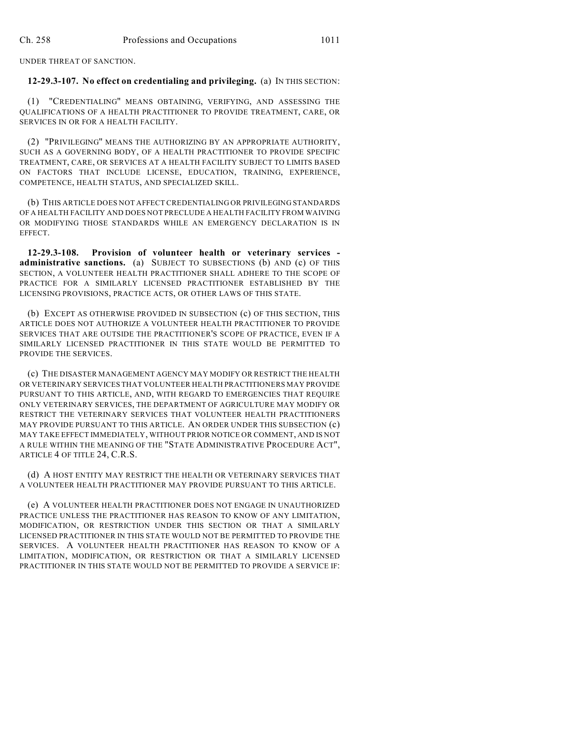UNDER THREAT OF SANCTION.

### **12-29.3-107. No effect on credentialing and privileging.** (a) IN THIS SECTION:

(1) "CREDENTIALING" MEANS OBTAINING, VERIFYING, AND ASSESSING THE QUALIFICATIONS OF A HEALTH PRACTITIONER TO PROVIDE TREATMENT, CARE, OR SERVICES IN OR FOR A HEALTH FACILITY.

(2) "PRIVILEGING" MEANS THE AUTHORIZING BY AN APPROPRIATE AUTHORITY, SUCH AS A GOVERNING BODY, OF A HEALTH PRACTITIONER TO PROVIDE SPECIFIC TREATMENT, CARE, OR SERVICES AT A HEALTH FACILITY SUBJECT TO LIMITS BASED ON FACTORS THAT INCLUDE LICENSE, EDUCATION, TRAINING, EXPERIENCE, COMPETENCE, HEALTH STATUS, AND SPECIALIZED SKILL.

(b) THIS ARTICLE DOES NOT AFFECT CREDENTIALING OR PRIVILEGING STANDARDS OF A HEALTH FACILITY AND DOES NOT PRECLUDE A HEALTH FACILITY FROM WAIVING OR MODIFYING THOSE STANDARDS WHILE AN EMERGENCY DECLARATION IS IN EFFECT.

**12-29.3-108. Provision of volunteer health or veterinary services administrative sanctions.** (a) SUBJECT TO SUBSECTIONS (b) AND (c) OF THIS SECTION, A VOLUNTEER HEALTH PRACTITIONER SHALL ADHERE TO THE SCOPE OF PRACTICE FOR A SIMILARLY LICENSED PRACTITIONER ESTABLISHED BY THE LICENSING PROVISIONS, PRACTICE ACTS, OR OTHER LAWS OF THIS STATE.

(b) EXCEPT AS OTHERWISE PROVIDED IN SUBSECTION (c) OF THIS SECTION, THIS ARTICLE DOES NOT AUTHORIZE A VOLUNTEER HEALTH PRACTITIONER TO PROVIDE SERVICES THAT ARE OUTSIDE THE PRACTITIONER'S SCOPE OF PRACTICE, EVEN IF A SIMILARLY LICENSED PRACTITIONER IN THIS STATE WOULD BE PERMITTED TO PROVIDE THE SERVICES.

(c) THE DISASTER MANAGEMENT AGENCY MAY MODIFY OR RESTRICT THE HEALTH OR VETERINARY SERVICES THAT VOLUNTEER HEALTH PRACTITIONERS MAY PROVIDE PURSUANT TO THIS ARTICLE, AND, WITH REGARD TO EMERGENCIES THAT REQUIRE ONLY VETERINARY SERVICES, THE DEPARTMENT OF AGRICULTURE MAY MODIFY OR RESTRICT THE VETERINARY SERVICES THAT VOLUNTEER HEALTH PRACTITIONERS MAY PROVIDE PURSUANT TO THIS ARTICLE. AN ORDER UNDER THIS SUBSECTION (c) MAY TAKE EFFECT IMMEDIATELY, WITHOUT PRIOR NOTICE OR COMMENT, AND IS NOT A RULE WITHIN THE MEANING OF THE "STATE ADMINISTRATIVE PROCEDURE ACT", ARTICLE 4 OF TITLE 24, C.R.S.

(d) A HOST ENTITY MAY RESTRICT THE HEALTH OR VETERINARY SERVICES THAT A VOLUNTEER HEALTH PRACTITIONER MAY PROVIDE PURSUANT TO THIS ARTICLE.

(e) A VOLUNTEER HEALTH PRACTITIONER DOES NOT ENGAGE IN UNAUTHORIZED PRACTICE UNLESS THE PRACTITIONER HAS REASON TO KNOW OF ANY LIMITATION, MODIFICATION, OR RESTRICTION UNDER THIS SECTION OR THAT A SIMILARLY LICENSED PRACTITIONER IN THIS STATE WOULD NOT BE PERMITTED TO PROVIDE THE SERVICES. A VOLUNTEER HEALTH PRACTITIONER HAS REASON TO KNOW OF A LIMITATION, MODIFICATION, OR RESTRICTION OR THAT A SIMILARLY LICENSED PRACTITIONER IN THIS STATE WOULD NOT BE PERMITTED TO PROVIDE A SERVICE IF: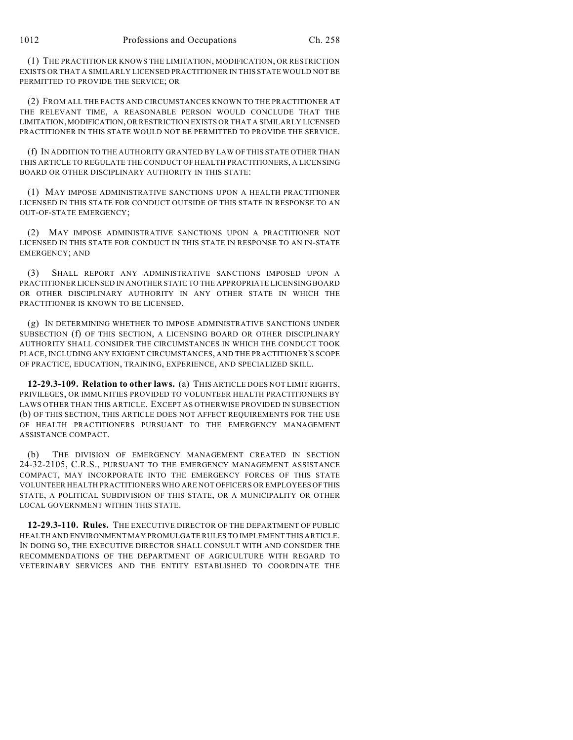(1) THE PRACTITIONER KNOWS THE LIMITATION, MODIFICATION, OR RESTRICTION EXISTS OR THAT A SIMILARLY LICENSED PRACTITIONER IN THIS STATE WOULD NOT BE PERMITTED TO PROVIDE THE SERVICE; OR

(2) FROM ALL THE FACTS AND CIRCUMSTANCES KNOWN TO THE PRACTITIONER AT THE RELEVANT TIME, A REASONABLE PERSON WOULD CONCLUDE THAT THE LIMITATION, MODIFICATION, OR RESTRICTION EXISTS OR THAT A SIMILARLY LICENSED PRACTITIONER IN THIS STATE WOULD NOT BE PERMITTED TO PROVIDE THE SERVICE.

(f) IN ADDITION TO THE AUTHORITY GRANTED BY LAW OF THIS STATE OTHER THAN THIS ARTICLE TO REGULATE THE CONDUCT OF HEALTH PRACTITIONERS, A LICENSING BOARD OR OTHER DISCIPLINARY AUTHORITY IN THIS STATE:

(1) MAY IMPOSE ADMINISTRATIVE SANCTIONS UPON A HEALTH PRACTITIONER LICENSED IN THIS STATE FOR CONDUCT OUTSIDE OF THIS STATE IN RESPONSE TO AN OUT-OF-STATE EMERGENCY;

(2) MAY IMPOSE ADMINISTRATIVE SANCTIONS UPON A PRACTITIONER NOT LICENSED IN THIS STATE FOR CONDUCT IN THIS STATE IN RESPONSE TO AN IN-STATE EMERGENCY; AND

(3) SHALL REPORT ANY ADMINISTRATIVE SANCTIONS IMPOSED UPON A PRACTITIONER LICENSED IN ANOTHER STATE TO THE APPROPRIATE LICENSING BOARD OR OTHER DISCIPLINARY AUTHORITY IN ANY OTHER STATE IN WHICH THE PRACTITIONER IS KNOWN TO BE LICENSED.

(g) IN DETERMINING WHETHER TO IMPOSE ADMINISTRATIVE SANCTIONS UNDER SUBSECTION (f) OF THIS SECTION, A LICENSING BOARD OR OTHER DISCIPLINARY AUTHORITY SHALL CONSIDER THE CIRCUMSTANCES IN WHICH THE CONDUCT TOOK PLACE, INCLUDING ANY EXIGENT CIRCUMSTANCES, AND THE PRACTITIONER'S SCOPE OF PRACTICE, EDUCATION, TRAINING, EXPERIENCE, AND SPECIALIZED SKILL.

**12-29.3-109. Relation to other laws.** (a) THIS ARTICLE DOES NOT LIMIT RIGHTS, PRIVILEGES, OR IMMUNITIES PROVIDED TO VOLUNTEER HEALTH PRACTITIONERS BY LAWS OTHER THAN THIS ARTICLE. EXCEPT AS OTHERWISE PROVIDED IN SUBSECTION (b) OF THIS SECTION, THIS ARTICLE DOES NOT AFFECT REQUIREMENTS FOR THE USE OF HEALTH PRACTITIONERS PURSUANT TO THE EMERGENCY MANAGEMENT ASSISTANCE COMPACT.

(b) THE DIVISION OF EMERGENCY MANAGEMENT CREATED IN SECTION 24-32-2105, C.R.S., PURSUANT TO THE EMERGENCY MANAGEMENT ASSISTANCE COMPACT, MAY INCORPORATE INTO THE EMERGENCY FORCES OF THIS STATE VOLUNTEER HEALTH PRACTITIONERS WHO ARE NOT OFFICERS OR EMPLOYEES OF THIS STATE, A POLITICAL SUBDIVISION OF THIS STATE, OR A MUNICIPALITY OR OTHER LOCAL GOVERNMENT WITHIN THIS STATE.

**12-29.3-110. Rules.** THE EXECUTIVE DIRECTOR OF THE DEPARTMENT OF PUBLIC HEALTH AND ENVIRONMENT MAY PROMULGATE RULES TO IMPLEMENT THIS ARTICLE. IN DOING SO, THE EXECUTIVE DIRECTOR SHALL CONSULT WITH AND CONSIDER THE RECOMMENDATIONS OF THE DEPARTMENT OF AGRICULTURE WITH REGARD TO VETERINARY SERVICES AND THE ENTITY ESTABLISHED TO COORDINATE THE